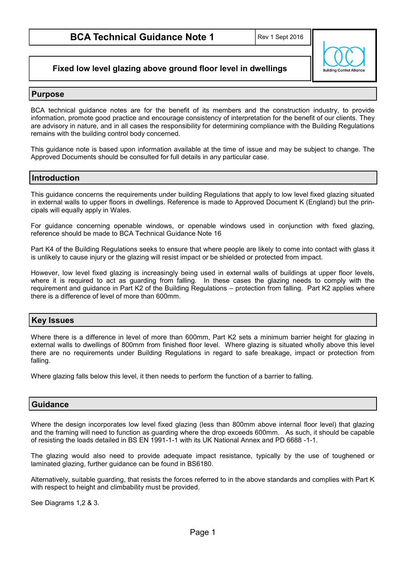**Fixed low level glazing above ground floor level in dwellings**

# **Ruilding Control Allio**

# **Purpose**

BCA technical guidance notes are for the benefit of its members and the construction industry, to provide information, promote good practice and encourage consistency of interpretation for the benefit of our clients. They are advisory in nature, and in all cases the responsibility for determining compliance with the Building Regulations remains with the building control body concerned.

This guidance note is based upon information available at the time of issue and may be subject to change. The Approved Documents should be consulted for full details in any particular case.

# **Introduction**

This guidance concerns the requirements under building Regulations that apply to low level fixed glazing situated in external walls to upper floors in dwellings. Reference is made to Approved Document K (England) but the principals will equally apply in Wales.

For guidance concerning openable windows, or openable windows used in conjunction with fixed glazing, reference should be made to BCA Technical Guidance Note 16

Part K4 of the Building Regulations seeks to ensure that where people are likely to come into contact with glass it is unlikely to cause injury or the glazing will resist impact or be shielded or protected from impact.

However, low level fixed glazing is increasingly being used in external walls of buildings at upper floor levels, where it is required to act as guarding from falling. In these cases the glazing needs to comply with the requirement and guidance in Part K2 of the Building Regulations – protection from falling. Part K2 applies where there is a difference of level of more than 600mm.

# **Key Issues**

Where there is a difference in level of more than 600mm, Part K2 sets a minimum barrier height for glazing in external walls to dwellings of 800mm from finished floor level. Where glazing is situated wholly above this level there are no requirements under Building Regulations in regard to safe breakage, impact or protection from falling.

Where glazing falls below this level, it then needs to perform the function of a barrier to falling.

### **Guidance**

Where the design incorporates low level fixed glazing (less than 800mm above internal floor level) that glazing and the framing will need to function as guarding where the drop exceeds 600mm. As such, it should be capable of resisting the loads detailed in BS EN 1991-1-1 with its UK National Annex and PD 6688 -1-1.

The glazing would also need to provide adequate impact resistance, typically by the use of toughened or laminated glazing, further guidance can be found in BS6180.

Alternatively, suitable guarding, that resists the forces referred to in the above standards and complies with Part K with respect to height and climbability must be provided.

See Diagrams 1,2 & 3.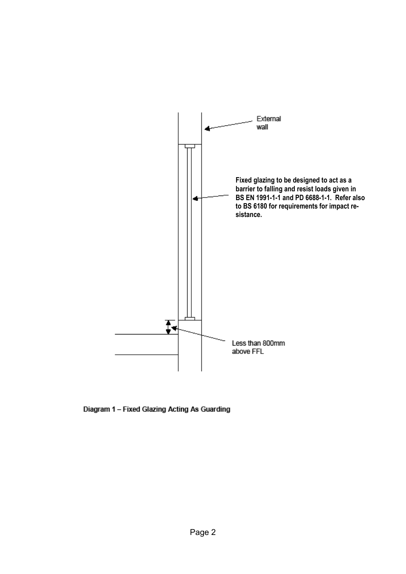

Diagram 1 - Fixed Glazing Acting As Guarding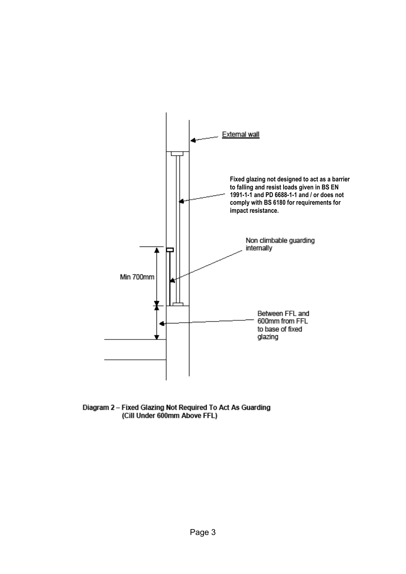

Diagram 2 - Fixed Glazing Not Required To Act As Guarding<br>(Cill Under 600mm Above FFL)